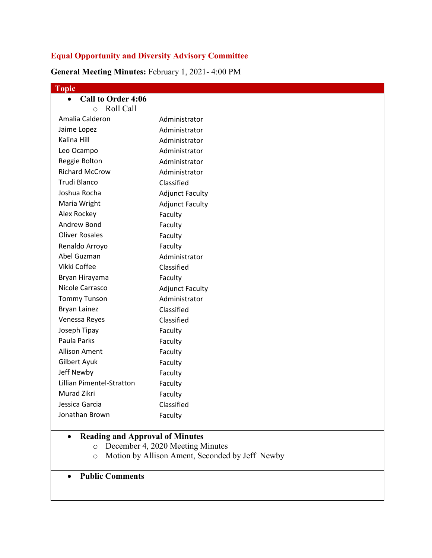## **Equal Opportunity and Diversity Advisory Committee**

**General Meeting Minutes:** February 1, 2021- 4:00 PM

| Topic                                               |                                         |
|-----------------------------------------------------|-----------------------------------------|
| <b>Call to Order 4:06</b><br>$\bullet$              |                                         |
| Roll Call<br>$\circ$                                |                                         |
| Amalia Calderon                                     | Administrator                           |
| Jaime Lopez                                         | Administrator                           |
| Kalina Hill                                         | Administrator                           |
| Leo Ocampo                                          | Administrator                           |
| Reggie Bolton                                       | Administrator                           |
| <b>Richard McCrow</b>                               | Administrator                           |
| <b>Trudi Blanco</b>                                 | Classified                              |
| Joshua Rocha                                        | <b>Adjunct Faculty</b>                  |
| Maria Wright                                        | <b>Adjunct Faculty</b>                  |
| Alex Rockey                                         | Faculty                                 |
| Andrew Bond                                         | Faculty                                 |
| <b>Oliver Rosales</b>                               | Faculty                                 |
| Renaldo Arroyo                                      | Faculty                                 |
| Abel Guzman                                         | Administrator                           |
| Vikki Coffee                                        | Classified                              |
| Bryan Hirayama                                      | Faculty                                 |
| Nicole Carrasco                                     | <b>Adjunct Faculty</b>                  |
| <b>Tommy Tunson</b>                                 | Administrator                           |
| <b>Bryan Lainez</b>                                 | Classified                              |
| Venessa Reyes                                       | Classified                              |
| Joseph Tipay                                        | Faculty                                 |
| Paula Parks                                         | Faculty                                 |
| <b>Allison Ament</b>                                | Faculty                                 |
| Gilbert Ayuk                                        | Faculty                                 |
| Jeff Newby                                          | Faculty                                 |
| Lillian Pimentel-Stratton                           | Faculty                                 |
| Murad Zikri                                         | Faculty                                 |
| Jessica Garcia                                      | Classified                              |
| Jonathan Brown                                      | Faculty                                 |
|                                                     |                                         |
| <b>Reading and Approval of Minutes</b><br>$\bullet$ | <b>December 4, 2020 Meeting Minutes</b> |

- o December 4, 2020 Meeting Minutes
- o Motion by Allison Ament, Seconded by Jeff Newby
- **Public Comments**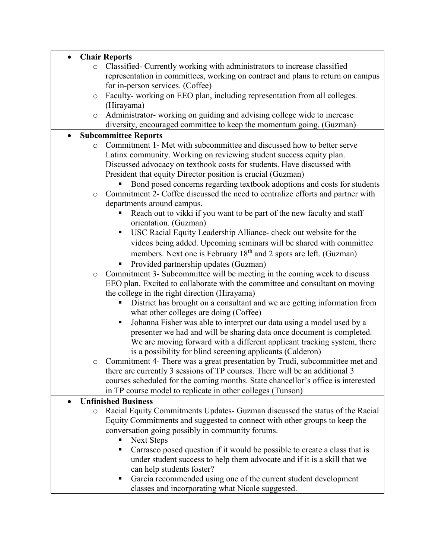|           | <b>Chair Reports</b>                                                             |  |
|-----------|----------------------------------------------------------------------------------|--|
| $\circ$   | Classified- Currently working with administrators to increase classified         |  |
|           | representation in committees, working on contract and plans to return on campus  |  |
|           | for in-person services. (Coffee)                                                 |  |
| $\circ$   | Faculty-working on EEO plan, including representation from all colleges.         |  |
|           | (Hirayama)                                                                       |  |
| $\circ$   | Administrator-working on guiding and advising college wide to increase           |  |
|           | diversity, encouraged committee to keep the momentum going. (Guzman)             |  |
| $\bullet$ | <b>Subcommittee Reports</b>                                                      |  |
| $\circ$   | Commitment 1- Met with subcommittee and discussed how to better serve            |  |
|           | Latinx community. Working on reviewing student success equity plan.              |  |
|           | Discussed advocacy on textbook costs for students. Have discussed with           |  |
|           | President that equity Director position is crucial (Guzman)                      |  |
|           | Bond posed concerns regarding textbook adoptions and costs for students          |  |
| $\circ$   | Commitment 2- Coffee discussed the need to centralize efforts and partner with   |  |
|           | departments around campus.                                                       |  |
|           | Reach out to vikki if you want to be part of the new faculty and staff           |  |
|           | orientation. (Guzman)                                                            |  |
|           | USC Racial Equity Leadership Alliance- check out website for the<br>Ξ            |  |
|           | videos being added. Upcoming seminars will be shared with committee              |  |
|           | members. Next one is February 18 <sup>th</sup> and 2 spots are left. (Guzman)    |  |
|           |                                                                                  |  |
|           | Provided partnership updates (Guzman)<br>Е                                       |  |
| $\circ$   | Commitment 3- Subcommittee will be meeting in the coming week to discuss         |  |
|           | EEO plan. Excited to collaborate with the committee and consultant on moving     |  |
|           | the college in the right direction (Hirayama)                                    |  |
|           | District has brought on a consultant and we are getting information from         |  |
|           | what other colleges are doing (Coffee)                                           |  |
|           | Johanna Fisher was able to interpret our data using a model used by a<br>п       |  |
|           | presenter we had and will be sharing data once document is completed.            |  |
|           | We are moving forward with a different applicant tracking system, there          |  |
|           | is a possibility for blind screening applicants (Calderon)                       |  |
| O         | Commitment 4- There was a great presentation by Trudi, subcommittee met and      |  |
|           | there are currently 3 sessions of TP courses. There will be an additional 3      |  |
|           | courses scheduled for the coming months. State chancellor's office is interested |  |
|           | in TP course model to replicate in other colleges (Tunson)                       |  |
|           | <b>Unfinished Business</b>                                                       |  |
| $\circ$   | Racial Equity Commitments Updates- Guzman discussed the status of the Racial     |  |
|           | Equity Commitments and suggested to connect with other groups to keep the        |  |
|           | conversation going possibly in community forums.                                 |  |
|           | <b>Next Steps</b><br>п<br>٠                                                      |  |
|           | Carrasco posed question if it would be possible to create a class that is        |  |
|           | under student success to help them advocate and if it is a skill that we         |  |
|           | can help students foster?<br>п                                                   |  |
|           | Garcia recommended using one of the current student development                  |  |
|           | classes and incorporating what Nicole suggested.                                 |  |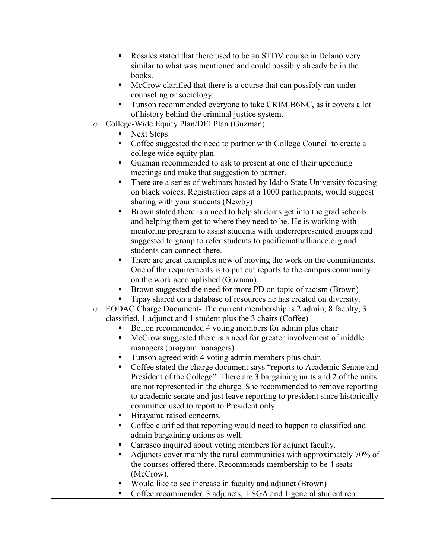- Rosales stated that there used to be an STDV course in Delano very similar to what was mentioned and could possibly already be in the books.
- McCrow clarified that there is a course that can possibly ran under counseling or sociology.
- Tunson recommended everyone to take CRIM B6NC, as it covers a lot of history behind the criminal justice system.
- o College-Wide Equity Plan/DEI Plan (Guzman)
	- Next Steps
	- Coffee suggested the need to partner with College Council to create a college wide equity plan.
	- Guzman recommended to ask to present at one of their upcoming meetings and make that suggestion to partner.
	- There are a series of webinars hosted by Idaho State University focusing on black voices. Registration caps at a 1000 participants, would suggest sharing with your students (Newby)
	- Brown stated there is a need to help students get into the grad schools and helping them get to where they need to be. He is working with mentoring program to assist students with underrepresented groups and suggested to group to refer students to pacificmathalliance.org and students can connect there.
	- There are great examples now of moving the work on the commitments. One of the requirements is to put out reports to the campus community on the work accomplished (Guzman)
	- Brown suggested the need for more PD on topic of racism (Brown)
	- Tipay shared on a database of resources he has created on diversity.
- o EODAC Charge Document- The current membership is 2 admin, 8 faculty, 3 classified, 1 adjunct and 1 student plus the 3 chairs (Coffee)
	- Bolton recommended 4 voting members for admin plus chair
	- McCrow suggested there is a need for greater involvement of middle managers (program managers)
	- Tunson agreed with 4 voting admin members plus chair.
	- Coffee stated the charge document says "reports to Academic Senate and President of the College". There are 3 bargaining units and 2 of the units are not represented in the charge. She recommended to remove reporting to academic senate and just leave reporting to president since historically committee used to report to President only
	- Hirayama raised concerns.
	- Coffee clarified that reporting would need to happen to classified and admin bargaining unions as well.
	- Carrasco inquired about voting members for adjunct faculty.
	- Adjuncts cover mainly the rural communities with approximately 70% of the courses offered there. Recommends membership to be 4 seats (McCrow).
	- Would like to see increase in faculty and adjunct (Brown)
	- Coffee recommended 3 adjuncts, 1 SGA and 1 general student rep.